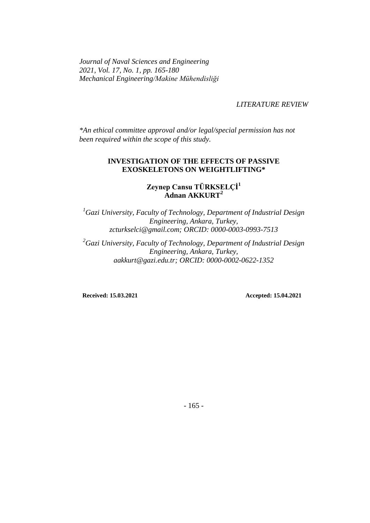*Journal of Naval Sciences and Engineering 2021, Vol. 17, No. 1, pp. 165-180 Mechanical Engineering/Makine Mühendisliği*

*LITERATURE REVIEW*

*\*An ethical committee approval and/or legal/special permission has not been required within the scope of this study.*

#### **INVESTIGATION OF THE EFFECTS OF PASSIVE EXOSKELETONS ON WEIGHTLIFTING\***

## **Zeynep Cansu TÜRKSELÇİ<sup>1</sup> Adnan AKKURT<sup>2</sup>**

*<sup>1</sup>Gazi University, Faculty of Technology, Department of Industrial Design Engineering, Ankara, Turkey, zcturkselci@gmail.com; ORCID: 0000-0003-0993-7513*

*<sup>2</sup>Gazi University, Faculty of Technology, Department of Industrial Design Engineering, Ankara, Turkey, aakkurt@gazi.edu.tr; ORCID: 0000-0002-0622-1352*

**Received: 15.03.2021** Accepted: 15.04.2021

- 165 -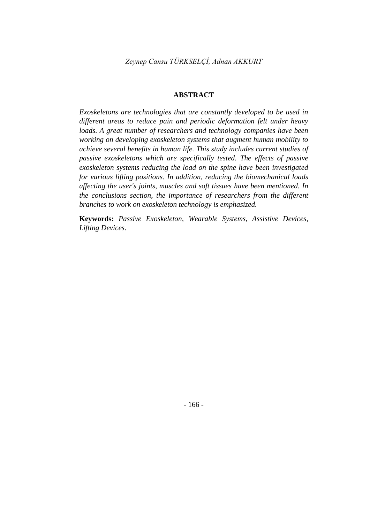#### **ABSTRACT**

*Exoskeletons are technologies that are constantly developed to be used in different areas to reduce pain and periodic deformation felt under heavy loads. A great number of researchers and technology companies have been working on developing exoskeleton systems that augment human mobility to achieve several benefits in human life. This study includes current studies of passive exoskeletons which are specifically tested. The effects of passive exoskeleton systems reducing the load on the spine have been investigated for various lifting positions. In addition, reducing the biomechanical loads affecting the user's joints, muscles and soft tissues have been mentioned. In the conclusions section, the importance of researchers from the different branches to work on exoskeleton technology is emphasized.*

**Keywords:** *Passive Exoskeleton, Wearable Systems, Assistive Devices, Lifting Devices.*

- 166 -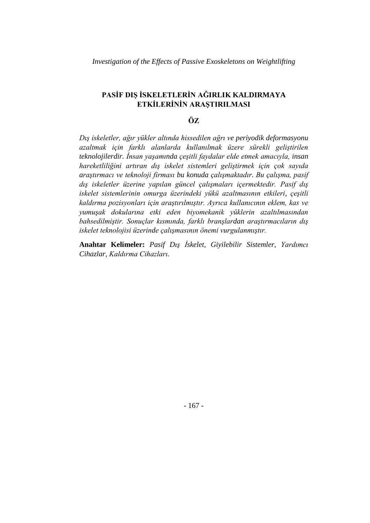## **PASİF DIŞ İSKELETLERİN AĞIRLIK KALDIRMAYA ETKİLERİNİN ARAŞTIRILMASI**

#### **ÖZ**

*Dış iskeletler, ağır yükler altında hissedilen ağrı ve periyodik deformasyonu azaltmak için farklı alanlarda kullanılmak üzere sürekli geliştirilen teknolojilerdir. İnsan yaşamında çeşitli faydalar elde etmek amacıyla, insan hareketliliğini artıran dış iskelet sistemleri geliştirmek için çok sayıda araştırmacı ve teknoloji firması bu konuda çalışmaktadır. Bu çalışma, pasif dış iskeletler üzerine yapılan güncel çalışmaları içermektedir. Pasif dış iskelet sistemlerinin omurga üzerindeki yükü azaltmasının etkileri, çeşitli kaldırma pozisyonları için araştırılmıştır. Ayrıca kullanıcının eklem, kas ve yumuşak dokularına etki eden biyomekanik yüklerin azaltılmasından bahsedilmiştir. Sonuçlar kısmında, farklı branşlardan araştırmacıların dış iskelet teknolojisi üzerinde çalışmasının önemi vurgulanmıştır.*

**Anahtar Kelimeler:** *Pasif Dış İskelet, Giyilebilir Sistemler, Yardımcı Cihazlar, Kaldırma Cihazları.*

- 167 -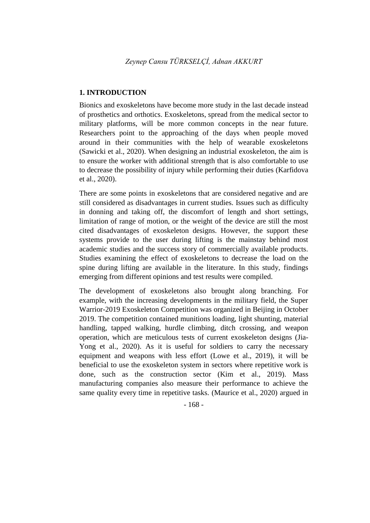#### **1. INTRODUCTION**

Bionics and exoskeletons have become more study in the last decade instead of prosthetics and orthotics. Exoskeletons, spread from the medical sector to military platforms, will be more common concepts in the near future. Researchers point to the approaching of the days when people moved around in their communities with the help of wearable exoskeletons (Sawicki et al., 2020). When designing an industrial exoskeleton, the aim is to ensure the worker with additional strength that is also comfortable to use to decrease the possibility of injury while performing their duties (Karfidova et al., 2020).

There are some points in exoskeletons that are considered negative and are still considered as disadvantages in current studies. Issues such as difficulty in donning and taking off, the discomfort of length and short settings, limitation of range of motion, or the weight of the device are still the most cited disadvantages of exoskeleton designs. However, the support these systems provide to the user during lifting is the mainstay behind most academic studies and the success story of commercially available products. Studies examining the effect of exoskeletons to decrease the load on the spine during lifting are available in the literature. In this study, findings emerging from different opinions and test results were compiled.

The development of exoskeletons also brought along branching. For example, with the increasing developments in the military field, the Super Warrior-2019 Exoskeleton Competition was organized in Beijing in October 2019. The competition contained munitions loading, light shunting, material handling, tapped walking, hurdle climbing, ditch crossing, and weapon operation, which are meticulous tests of current exoskeleton designs (Jia-Yong et al., 2020). As it is useful for soldiers to carry the necessary equipment and weapons with less effort (Lowe et al., 2019), it will be beneficial to use the exoskeleton system in sectors where repetitive work is done, such as the construction sector (Kim et al., 2019). Mass manufacturing companies also measure their performance to achieve the same quality every time in repetitive tasks. (Maurice et al., 2020) argued in

- 168 -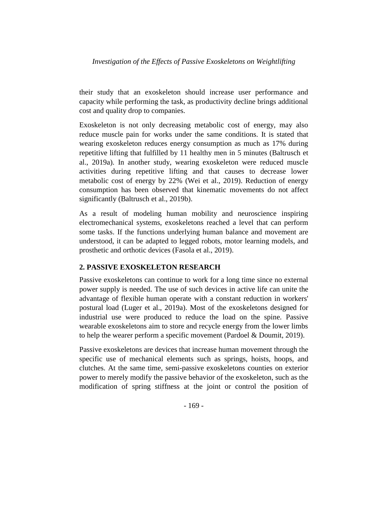## *Investigation of the Effects of Passive Exoskeletons on Weightlifting*

their study that an exoskeleton should increase user performance and capacity while performing the task, as productivity decline brings additional cost and quality drop to companies.

Exoskeleton is not only decreasing metabolic cost of energy, may also reduce muscle pain for works under the same conditions. It is stated that wearing exoskeleton reduces energy consumption as much as 17% during repetitive lifting that fulfilled by 11 healthy men in 5 minutes (Baltrusch et al., 2019a). In another study, wearing exoskeleton were reduced muscle activities during repetitive lifting and that causes to decrease lower metabolic cost of energy by 22% (Wei et al., 2019). Reduction of energy consumption has been observed that kinematic movements do not affect significantly (Baltrusch et al., 2019b).

As a result of modeling human mobility and neuroscience inspiring electromechanical systems, exoskeletons reached a level that can perform some tasks. If the functions underlying human balance and movement are understood, it can be adapted to legged robots, motor learning models, and prosthetic and orthotic devices (Fasola et al., 2019).

## **2. PASSIVE EXOSKELETON RESEARCH**

Passive exoskeletons can continue to work for a long time since no external power supply is needed. The use of such devices in active life can unite the advantage of flexible human operate with a constant reduction in workers' postural load (Luger et al., 2019a). Most of the exoskeletons designed for industrial use were produced to reduce the load on the spine. Passive wearable exoskeletons aim to store and recycle energy from the lower limbs to help the wearer perform a specific movement (Pardoel & Doumit, 2019).

Passive exoskeletons are devices that increase human movement through the specific use of mechanical elements such as springs, hoists, hoops, and clutches. At the same time, semi-passive exoskeletons counties on exterior power to merely modify the passive behavior of the exoskeleton, such as the modification of spring stiffness at the joint or control the position of

- 169 -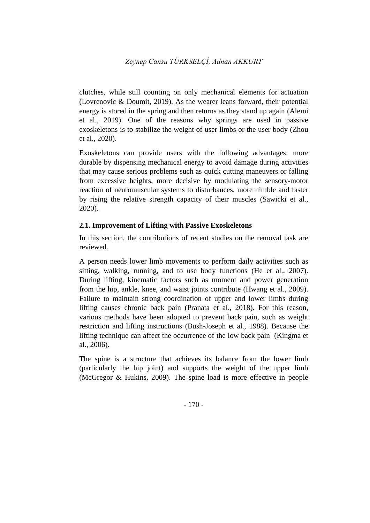clutches, while still counting on only mechanical elements for actuation (Lovrenovic & Doumit, 2019). As the wearer leans forward, their potential energy is stored in the spring and then returns as they stand up again (Alemi et al., 2019). One of the reasons why springs are used in passive exoskeletons is to stabilize the weight of user limbs or the user body (Zhou et al., 2020).

Exoskeletons can provide users with the following advantages: more durable by dispensing mechanical energy to avoid damage during activities that may cause serious problems such as quick cutting maneuvers or falling from excessive heights, more decisive by modulating the sensory-motor reaction of neuromuscular systems to disturbances, more nimble and faster by rising the relative strength capacity of their muscles (Sawicki et al., 2020).

## **2.1. Improvement of Lifting with Passive Exoskeletons**

In this section, the contributions of recent studies on the removal task are reviewed.

A person needs lower limb movements to perform daily activities such as sitting, walking, running, and to use body functions (He et al., 2007). During lifting, kinematic factors such as moment and power generation from the hip, ankle, knee, and waist joints contribute (Hwang et al., 2009). Failure to maintain strong coordination of upper and lower limbs during lifting causes chronic back pain (Pranata et al., 2018). For this reason, various methods have been adopted to prevent back pain, such as weight restriction and lifting instructions (Bush-Joseph et al., 1988). Because the lifting technique can affect the occurrence of the low back pain (Kingma et al., 2006).

The spine is a structure that achieves its balance from the lower limb (particularly the hip joint) and supports the weight of the upper limb (McGregor & Hukins, 2009). The spine load is more effective in people

- 170 -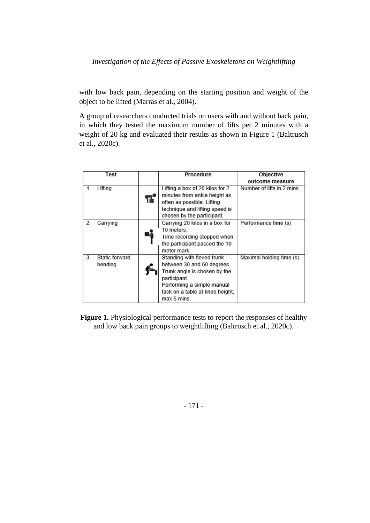## *Investigation of the Effects of Passive Exoskeletons on Weightlifting*

with low back pain, depending on the starting position and weight of the object to be lifted (Marras et al., 2004).

A group of researchers conducted trials on users with and without back pain, in which they tested the maximum number of lifts per 2 minutes with a weight of 20 kg and evaluated their results as shown in Figure 1 (Baltrusch et al., 2020c).

| Test |                |    | Procedure                       | Objective                  |
|------|----------------|----|---------------------------------|----------------------------|
|      |                |    |                                 | outcome measure            |
| 1.   | Lifting        |    | Lifting a box of 20 kilos for 2 | Number of lifts in 2 mins. |
|      |                |    | minutes from ankle height as    |                            |
|      |                | TÜ | often as possible. Lifting      |                            |
|      |                |    | technique and lifting speed is  |                            |
|      |                |    | chosen by the participant.      |                            |
| 2.   | Carrying       |    | Carrying 20 kilos in a box for  | Performance time (s)       |
|      |                |    | 10 meters.                      |                            |
|      |                |    | Time recording stopped when     |                            |
|      |                |    | the participant passed the 10-  |                            |
|      |                |    | meter mark.                     |                            |
| 3.   | Static forward |    | Standing with flexed trunk      | Maximal holding time (s)   |
|      | bending        |    | between 30 and 60 degrees.      |                            |
|      |                |    | Trunk angle is chosen by the    |                            |
|      |                |    | participant.                    |                            |
|      |                |    | Performing a simple manual      |                            |
|      |                |    | task on a table at knee height, |                            |
|      |                |    | max 5 mins.                     |                            |

**Figure 1.** Physiological performance tests to report the responses of healthy and low back pain groups to weightlifting (Baltrusch et al., 2020c).

- 171 -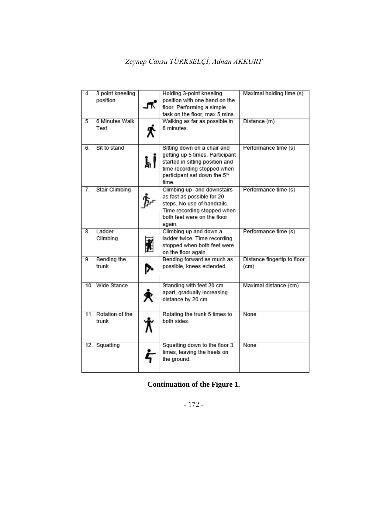# *Zeynep Cansu TÜRKSELÇİ, Adnan AKKURT*

| 4.             | 3 point kneeling<br>position |    | Holding 3-point kneeling<br>position with one hand on the<br>floor. Performing a simple<br>task on the floor, max 5 mins.                                                 | Maximal holding time (s)            |
|----------------|------------------------------|----|---------------------------------------------------------------------------------------------------------------------------------------------------------------------------|-------------------------------------|
| 5 <sub>1</sub> | 6 Minutes Walk<br>Test       |    | Walking as far as possible in<br>6 minutes.                                                                                                                               | Distance (m)                        |
| 6.             | Sit to stand                 | 訓  | Sitting down on a chair and<br>getting up 5 times. Participant<br>started in sitting position and<br>time recording stopped when<br>participant sat down the 5th<br>time. | Performance time (s)                |
| 7.             | <b>Stair Climbing</b>        |    | Climbing up- and downstairs<br>as fast as possible for 20<br>steps. No use of handrails.<br>Time recording stopped when<br>both feet were on the floor<br>again.          | Performance time (s)                |
| 8.             | Ladder<br>Climbing           |    | Climbing up and down a<br>ladder twice. Time recording<br>stopped when both feet were<br>on the floor again.                                                              | Performance time (s)                |
| 9.             | Bending the<br>trunk         | p. | Bending forward as much as<br>possible, knees extended.                                                                                                                   | Distance fingertip to floor<br>(cm) |
|                | 10. Wide Stance              |    | Standing with feet 20 cm<br>apart, gradually increasing<br>distance by 20 cm.                                                                                             | Maximal distance (cm)               |
|                | 11. Rotation of the<br>trunk |    | Rotating the trunk 5 times to<br>both sides.                                                                                                                              | None                                |
|                | 12. Squatting                |    | Squatting down to the floor 3<br>times, leaving the heels on<br>the ground.                                                                                               | None                                |

## **Continuation of the Figure 1.**

- 172 -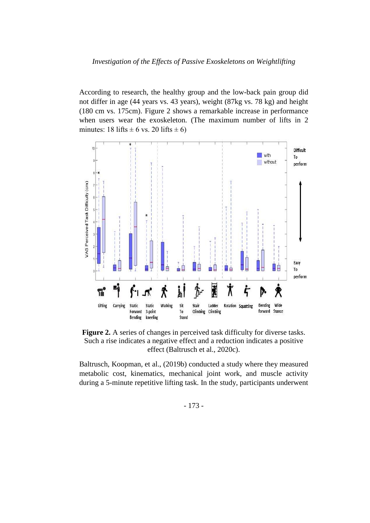#### *Investigation of the Effects of Passive Exoskeletons on Weightlifting*

According to research, the healthy group and the low-back pain group did not differ in age (44 years vs. 43 years), weight (87kg vs. 78 kg) and height (180 cm vs. 175cm). Figure 2 shows a remarkable increase in performance when users wear the exoskeleton. (The maximum number of lifts in 2 minutes: 18 lifts  $\pm$  6 vs. 20 lifts  $\pm$  6)



Figure 2. A series of changes in perceived task difficulty for diverse tasks. Such a rise indicates a negative effect and a reduction indicates a positive effect (Baltrusch et al., 2020c).

Baltrusch, Koopman, et al., (2019b) conducted a study where they measured metabolic cost, kinematics, mechanical joint work, and muscle activity during a 5-minute repetitive lifting task. In the study, participants underwent

- 173 -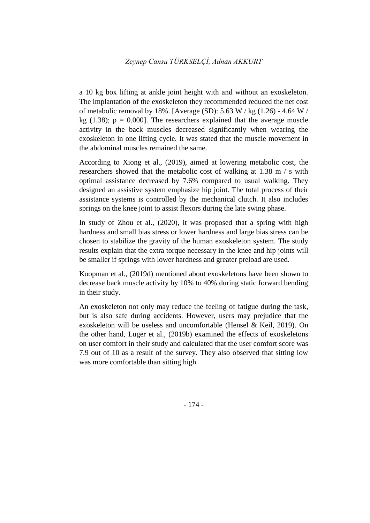a 10 kg box lifting at ankle joint height with and without an exoskeleton. The implantation of the exoskeleton they recommended reduced the net cost of metabolic removal by 18%. [Average (SD): 5.63 W / kg  $(1.26)$  - 4.64 W / kg (1.38);  $p = 0.000$ . The researchers explained that the average muscle activity in the back muscles decreased significantly when wearing the exoskeleton in one lifting cycle. It was stated that the muscle movement in the abdominal muscles remained the same.

According to Xiong et al., (2019), aimed at lowering metabolic cost, the researchers showed that the metabolic cost of walking at 1.38 m / s with optimal assistance decreased by 7.6% compared to usual walking. They designed an assistive system emphasize hip joint. The total process of their assistance systems is controlled by the mechanical clutch. It also includes springs on the knee joint to assist flexors during the late swing phase.

In study of Zhou et al., (2020), it was proposed that a spring with high hardness and small bias stress or lower hardness and large bias stress can be chosen to stabilize the gravity of the human exoskeleton system. The study results explain that the extra torque necessary in the knee and hip joints will be smaller if springs with lower hardness and greater preload are used.

Koopman et al., (2019d) mentioned about exoskeletons have been shown to decrease back muscle activity by 10% to 40% during static forward bending in their study.

An exoskeleton not only may reduce the feeling of fatigue during the task, but is also safe during accidents. However, users may prejudice that the exoskeleton will be useless and uncomfortable (Hensel & Keil, 2019). On the other hand, Luger et al., (2019b) examined the effects of exoskeletons on user comfort in their study and calculated that the user comfort score was 7.9 out of 10 as a result of the survey. They also observed that sitting low was more comfortable than sitting high.

- 174 -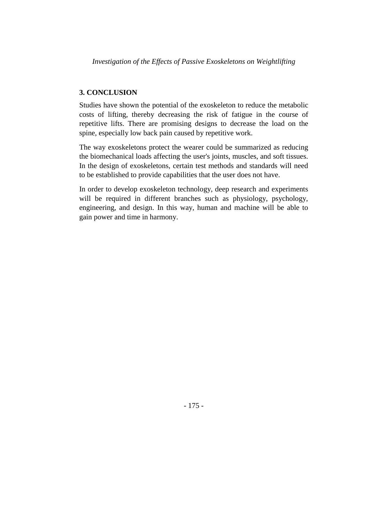## **3. CONCLUSION**

Studies have shown the potential of the exoskeleton to reduce the metabolic costs of lifting, thereby decreasing the risk of fatigue in the course of repetitive lifts. There are promising designs to decrease the load on the spine, especially low back pain caused by repetitive work.

The way exoskeletons protect the wearer could be summarized as reducing the biomechanical loads affecting the user's joints, muscles, and soft tissues. In the design of exoskeletons, certain test methods and standards will need to be established to provide capabilities that the user does not have.

In order to develop exoskeleton technology, deep research and experiments will be required in different branches such as physiology, psychology, engineering, and design. In this way, human and machine will be able to gain power and time in harmony.

- 175 -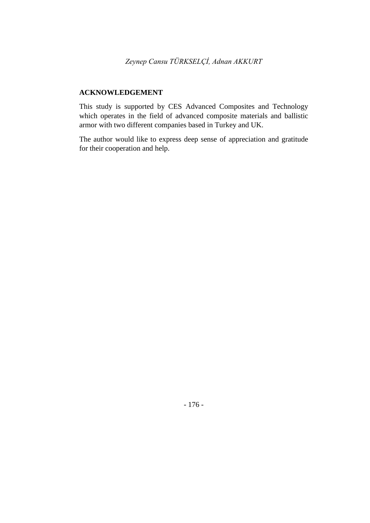### **ACKNOWLEDGEMENT**

This study is supported by CES Advanced Composites and Technology which operates in the field of advanced composite materials and ballistic armor with two different companies based in Turkey and UK.

The author would like to express deep sense of appreciation and gratitude for their cooperation and help.

- 176 -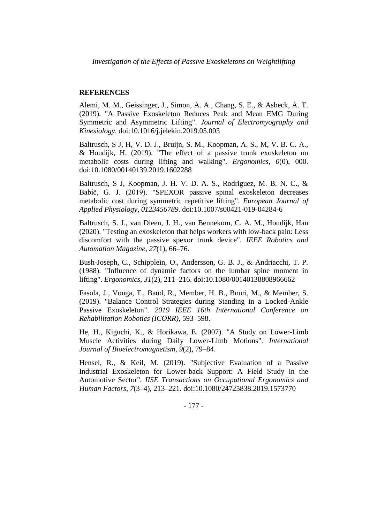#### **REFERENCES**

Alemi, M. M., Geissinger, J., Simon, A. A., Chang, S. E., & Asbeck, A. T. (2019). "A Passive Exoskeleton Reduces Peak and Mean EMG During Symmetric and Asymmetric Lifting". *Journal of Electromyography and Kinesiology*. doi:10.1016/j.jelekin.2019.05.003

Baltrusch, S J, H, V. D. J., Bruijn, S. M., Koopman, A. S., M, V. B. C. A., & Houdijk, H. (2019). "The effect of a passive trunk exoskeleton on metabolic costs during lifting and walking". *Ergonomics*, *0*(0), 000. doi:10.1080/00140139.2019.1602288

Baltrusch, S J, Koopman, J. H. V. D. A. S., Rodriguez, M. B. N. C., & Babič, G. J. (2019). "SPEXOR passive spinal exoskeleton decreases metabolic cost during symmetric repetitive lifting". *European Journal of Applied Physiology*, *0123456789*. doi:10.1007/s00421-019-04284-6

Baltrusch, S. J., van Dieen, J. H., van Bennekom, C. A. M., Houdijk, Han (2020). "Testing an exoskeleton that helps workers with low-back pain: Less discomfort with the passive spexor trunk device". *IEEE Robotics and Automation Magazine*, *27*(1), 66–76.

Bush-Joseph, C., Schipplein, O., Andersson, G. B. J., & Andriacchi, T. P. (1988). "Influence of dynamic factors on the lumbar spine moment in lifting". *Ergonomics*, *31*(2), 211–216. doi:10.1080/00140138808966662

Fasola, J., Vouga, T., Baud, R., Member, H. B., Bouri, M., & Member, S. (2019). "Balance Control Strategies during Standing in a Locked-Ankle Passive Exoskeleton". *2019 IEEE 16th International Conference on Rehabilitation Robotics (ICORR)*, 593–598.

He, H., Kiguchi, K., & Horikawa, E. (2007). "A Study on Lower-Limb Muscle Activities during Daily Lower-Limb Motions". *International Journal of Bioelectromagnetism*, *9*(2), 79–84.

Hensel, R., & Keil, M. (2019). "Subjective Evaluation of a Passive Industrial Exoskeleton for Lower-back Support: A Field Study in the Automotive Sector". *IISE Transactions on Occupational Ergonomics and Human Factors*, *7*(3–4), 213–221. doi:10.1080/24725838.2019.1573770

- 177 -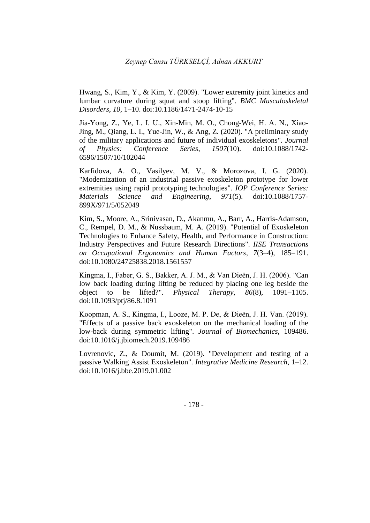Hwang, S., Kim, Y., & Kim, Y. (2009). "Lower extremity joint kinetics and lumbar curvature during squat and stoop lifting". *BMC Musculoskeletal Disorders*, *10*, 1–10. doi:10.1186/1471-2474-10-15

Jia-Yong, Z., Ye, L. I. U., Xin-Min, M. O., Chong-Wei, H. A. N., Xiao-Jing, M., Qiang, L. I., Yue-Jin, W., & Ang, Z. (2020). "A preliminary study of the military applications and future of individual exoskeletons". *Journal of Physics: Conference Series*, *1507*(10). doi:10.1088/1742- 6596/1507/10/102044

Karfidova, A. O., Vasilyev, M. V., & Morozova, I. G. (2020). "Modernization of an industrial passive exoskeleton prototype for lower extremities using rapid prototyping technologies". *IOP Conference Series: Materials Science and Engineering*, *971*(5). doi:10.1088/1757- 899X/971/5/052049

Kim, S., Moore, A., Srinivasan, D., Akanmu, A., Barr, A., Harris-Adamson, C., Rempel, D. M., & Nussbaum, M. A. (2019). "Potential of Exoskeleton Technologies to Enhance Safety, Health, and Performance in Construction: Industry Perspectives and Future Research Directions". *IISE Transactions on Occupational Ergonomics and Human Factors*, *7*(3–4), 185–191. doi:10.1080/24725838.2018.1561557

Kingma, I., Faber, G. S., Bakker, A. J. M., & Van Dieën, J. H. (2006). "Can low back loading during lifting be reduced by placing one leg beside the object to be lifted?". *Physical Therapy*, *86*(8), 1091–1105. doi:10.1093/ptj/86.8.1091

Koopman, A. S., Kingma, I., Looze, M. P. De, & Dieën, J. H. Van. (2019). "Effects of a passive back exoskeleton on the mechanical loading of the low-back during symmetric lifting". *Journal of Biomechanics*, 109486. doi:10.1016/j.jbiomech.2019.109486

Lovrenovic, Z., & Doumit, M. (2019). "Development and testing of a passive Walking Assist Exoskeleton". *Integrative Medicine Research*, 1–12. doi:10.1016/j.bbe.2019.01.002

- 178 -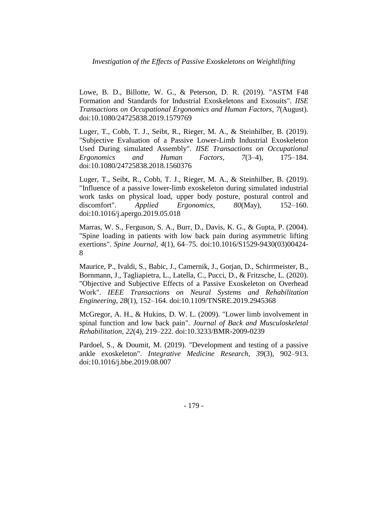Lowe, B. D., Billotte, W. G., & Peterson, D. R. (2019). "ASTM F48 Formation and Standards for Industrial Exoskeletons and Exosuits". *IISE Transactions on Occupational Ergonomics and Human Factors*, *7*(August). doi:10.1080/24725838.2019.1579769

Luger, T., Cobb, T. J., Seibt, R., Rieger, M. A., & Steinhilber, B. (2019). "Subjective Evaluation of a Passive Lower-Limb Industrial Exoskeleton Used During simulated Assembly". *IISE Transactions on Occupational Ergonomics and Human Factors*, *7*(3–4), 175–184. doi:10.1080/24725838.2018.1560376

Luger, T., Seibt, R., Cobb, T. J., Rieger, M. A., & Steinhilber, B. (2019). "Influence of a passive lower-limb exoskeleton during simulated industrial work tasks on physical load, upper body posture, postural control and discomfort". *Applied Ergonomics*, *80*(May), 152–160. doi:10.1016/j.apergo.2019.05.018

Marras, W. S., Ferguson, S. A., Burr, D., Davis, K. G., & Gupta, P. (2004). "Spine loading in patients with low back pain during asymmetric lifting exertions". *Spine Journal*, *4*(1), 64–75. doi:10.1016/S1529-9430(03)00424- 8

Maurice, P., Ivaldi, S., Babic, J., Camernik, J., Gorjan, D., Schirrmeister, B., Bornmann, J., Tagliapietra, L., Latella, C., Pucci, D., & Fritzsche, L. (2020). "Objective and Subjective Effects of a Passive Exoskeleton on Overhead Work". *IEEE Transactions on Neural Systems and Rehabilitation Engineering*, *28*(1), 152–164. doi:10.1109/TNSRE.2019.2945368

McGregor, A. H., & Hukins, D. W. L. (2009). "Lower limb involvement in spinal function and low back pain". *Journal of Back and Musculoskeletal Rehabilitation*, *22*(4), 219–222. doi:10.3233/BMR-2009-0239

Pardoel, S., & Doumit, M. (2019). "Development and testing of a passive ankle exoskeleton". *Integrative Medicine Research*, *39*(3), 902–913. doi:10.1016/j.bbe.2019.08.007

- 179 -